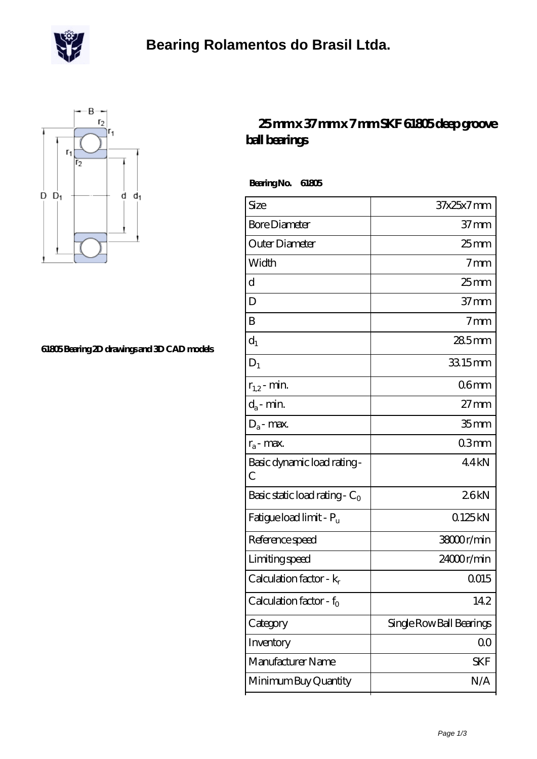



## **[61805 Bearing 2D drawings and 3D CAD models](https://m.scottrobertalexander.com/pic-539772.html)**

## **[25 mm x 37 mm x 7 mm SKF 61805 deep groove](https://m.scottrobertalexander.com/skf-61805-bearing/) [ball bearings](https://m.scottrobertalexander.com/skf-61805-bearing/)**

 **Bearing No. 61805**

| Size                                | 37x25x7mm                |
|-------------------------------------|--------------------------|
| <b>Bore Diameter</b>                | 37 mm                    |
| Outer Diameter                      | 25 <sub>mm</sub>         |
| Width                               | 7 <sub>mm</sub>          |
| d                                   | $25$ mm                  |
| D                                   | 37 <sub>mm</sub>         |
| B                                   | 7 <sub>mm</sub>          |
| $d_1$                               | 285mm                    |
| $D_1$                               | 33.15mm                  |
| $r_{1,2}$ - min.                    | 06 <sub>mm</sub>         |
| $d_a$ - min.                        | $27 \text{mm}$           |
| $D_a$ - max.                        | 35 <sub>mm</sub>         |
| $r_a$ - max.                        | 03mm                     |
| Basic dynamic load rating -<br>С    | 44kN                     |
| Basic static load rating - $C_0$    | 26kN                     |
| Fatigue load limit - Pu             | Q125kN                   |
| Reference speed                     | 38000r/min               |
| Limiting speed                      | 24000r/min               |
| Calculation factor - $k_r$          | 0015                     |
| Calculation factor - f <sub>0</sub> | 142                      |
| Category                            | Single Row Ball Bearings |
| Inventory                           | $00\,$                   |
| Manufacturer Name                   | <b>SKF</b>               |
| Minimum Buy Quantity                | N/A                      |
|                                     |                          |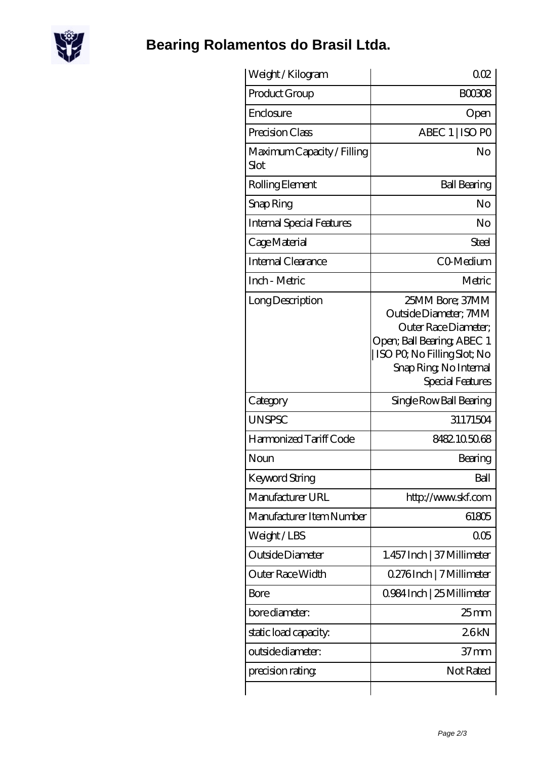

## **[Bearing Rolamentos do Brasil Ltda.](https://m.scottrobertalexander.com)**

| Weight/Kilogram                           | 002                                                                                                                                                                         |
|-------------------------------------------|-----------------------------------------------------------------------------------------------------------------------------------------------------------------------------|
| Product Group                             | <b>BOO308</b>                                                                                                                                                               |
| Enclosure                                 | Open                                                                                                                                                                        |
| Precision Class                           | ABEC 1   ISO PO                                                                                                                                                             |
| Maximum Capacity / Filling<br><b>Slot</b> | No                                                                                                                                                                          |
| Rolling Element                           | <b>Ball Bearing</b>                                                                                                                                                         |
| Snap Ring                                 | No                                                                                                                                                                          |
| <b>Internal Special Features</b>          | No                                                                                                                                                                          |
| Cage Material                             | Steel                                                                                                                                                                       |
| <b>Internal Clearance</b>                 | CO-Medium                                                                                                                                                                   |
| Inch - Metric                             | Metric                                                                                                                                                                      |
| Long Description                          | 25MM Bore; 37MM<br>Outside Diameter; 7MM<br>Outer Race Diameter;<br>Open; Ball Bearing; ABEC 1<br>ISO PO, No Filling Slot; No<br>Snap Ring, No Internal<br>Special Features |
| Category                                  | Single Row Ball Bearing                                                                                                                                                     |
| <b>UNSPSC</b>                             | 31171504                                                                                                                                                                    |
| Harmonized Tariff Code                    | 8482105068                                                                                                                                                                  |
| Noun                                      | Bearing                                                                                                                                                                     |
| Keyword String                            | Ball                                                                                                                                                                        |
| Manufacturer URL                          | http://www.skf.com                                                                                                                                                          |
| Manufacturer Item Number                  | 61805                                                                                                                                                                       |
| Weight/LBS                                | 005                                                                                                                                                                         |
| Outside Diameter                          | 1.457 Inch   37 Millimeter                                                                                                                                                  |
| Outer Race Width                          | 0.276Inch   7 Millimeter                                                                                                                                                    |
| Bore                                      | 0984 Inch   25 Millimeter                                                                                                                                                   |
| bore diameter:                            | $25$ mm                                                                                                                                                                     |
| static load capacity.                     | 26kN                                                                                                                                                                        |
| outside diameter:                         | 37 <sub>mm</sub>                                                                                                                                                            |
| precision rating                          | Not Rated                                                                                                                                                                   |
|                                           |                                                                                                                                                                             |